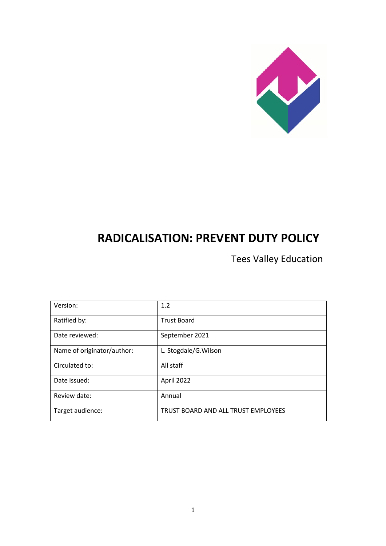

# **RADICALISATION: PREVENT DUTY POLICY**

Tees Valley Education

| Version:                   | 1.2                                 |
|----------------------------|-------------------------------------|
| Ratified by:               | <b>Trust Board</b>                  |
| Date reviewed:             | September 2021                      |
| Name of originator/author: | L. Stogdale/G. Wilson               |
| Circulated to:             | All staff                           |
| Date issued:               | April 2022                          |
| Review date:               | Annual                              |
| Target audience:           | TRUST BOARD AND ALL TRUST EMPLOYEES |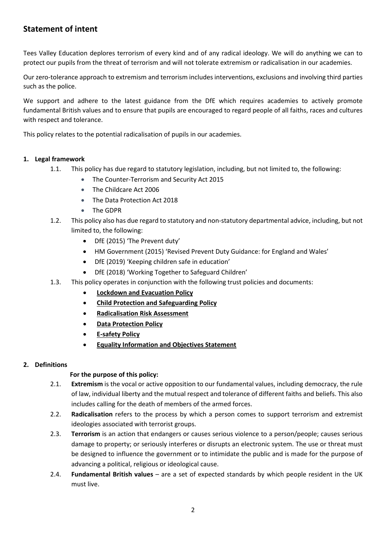# **Statement of intent**

Tees Valley Education deplores terrorism of every kind and of any radical ideology. We will do anything we can to protect our pupils from the threat of terrorism and will not tolerate extremism or radicalisation in our academies.

Our zero-tolerance approach to extremism and terrorism includes interventions, exclusions and involving third parties such as the police.

We support and adhere to the latest guidance from the DfE which requires academies to actively promote fundamental British values and to ensure that pupils are encouraged to regard people of all faiths, races and cultures with respect and tolerance.

This policy relates to the potential radicalisation of pupils in our academies.

# **1. Legal framework**

- 1.1. This policy has due regard to statutory legislation, including, but not limited to, the following:
	- The Counter-Terrorism and Security Act 2015
	- The Childcare Act 2006
	- The Data Protection Act 2018
	- The GDPR
- 1.2. This policy also has due regard to statutory and non-statutory departmental advice, including, but not limited to, the following:
	- DfE (2015) 'The Prevent duty'
	- HM Government (2015) 'Revised Prevent Duty Guidance: for England and Wales'
	- DfE (2019) 'Keeping children safe in education'
	- DfE (2018) 'Working Together to Safeguard Children'
- 1.3. This policy operates in conjunction with the following trust policies and documents:
	- **Lockdown and Evacuation Policy**
	- **Child Protection and Safeguarding Policy**
	- **Radicalisation Risk Assessment**
	- **Data Protection Policy**
	- **E-safety Policy**
	- **Equality Information and Objectives Statement**

#### **2. Definitions**

#### **For the purpose of this policy:**

- 2.1. **Extremism** is the vocal or active opposition to our fundamental values, including democracy, the rule of law, individual liberty and the mutual respect and tolerance of different faiths and beliefs. This also includes calling for the death of members of the armed forces.
- 2.2. **Radicalisation** refers to the process by which a person comes to support terrorism and extremist ideologies associated with terrorist groups.
- 2.3. **Terrorism** is an action that endangers or causes serious violence to a person/people; causes serious damage to property; or seriously interferes or disrupts an electronic system. The use or threat must be designed to influence the government or to intimidate the public and is made for the purpose of advancing a political, religious or ideological cause.
- 2.4. **Fundamental British values** are a set of expected standards by which people resident in the UK must live.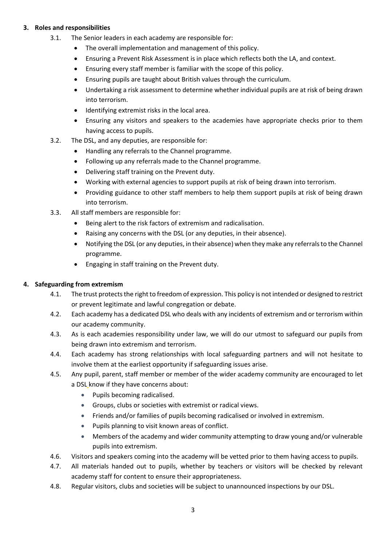## **3. Roles and responsibilities**

- 3.1. The Senior leaders in each academy are responsible for:
	- The overall implementation and management of this policy.
	- Ensuring a Prevent Risk Assessment is in place which reflects both the LA, and context.
	- Ensuring every staff member is familiar with the scope of this policy.
	- Ensuring pupils are taught about British values through the curriculum.
	- Undertaking a risk assessment to determine whether individual pupils are at risk of being drawn into terrorism.
	- Identifying extremist risks in the local area.
	- Ensuring any visitors and speakers to the academies have appropriate checks prior to them having access to pupils.
- 3.2. The DSL, and any deputies, are responsible for:
	- Handling any referrals to the Channel programme.
	- Following up any referrals made to the Channel programme.
	- Delivering staff training on the Prevent duty.
	- Working with external agencies to support pupils at risk of being drawn into terrorism.
	- Providing guidance to other staff members to help them support pupils at risk of being drawn into terrorism.
- 3.3. All staff members are responsible for:
	- Being alert to the risk factors of extremism and radicalisation.
	- Raising any concerns with the DSL (or any deputies, in their absence).
	- Notifying the DSL (or any deputies, in their absence) when they make any referrals to the Channel programme.
	- Engaging in staff training on the Prevent duty.

#### **4. Safeguarding from extremism**

- 4.1. The trust protects the right to freedom of expression. This policy is not intended or designed to restrict or prevent legitimate and lawful congregation or debate.
- 4.2. Each academy has a dedicated DSL who deals with any incidents of extremism and or terrorism within our academy community.
- 4.3. As is each academies responsibility under law, we will do our utmost to safeguard our pupils from being drawn into extremism and terrorism.
- 4.4. Each academy has strong relationships with local safeguarding partners and will not hesitate to involve them at the earliest opportunity if safeguarding issues arise.
- 4.5. Any pupil, parent, staff member or member of the wider academy community are encouraged to let a DSL know if they have concerns about:
	- Pupils becoming radicalised.
	- Groups, clubs or societies with extremist or radical views.
	- Friends and/or families of pupils becoming radicalised or involved in extremism.
	- Pupils planning to visit known areas of conflict.
	- Members of the academy and wider community attempting to draw young and/or vulnerable pupils into extremism.
- 4.6. Visitors and speakers coming into the academy will be vetted prior to them having access to pupils.
- 4.7. All materials handed out to pupils, whether by teachers or visitors will be checked by relevant academy staff for content to ensure their appropriateness.
- 4.8. Regular visitors, clubs and societies will be subject to unannounced inspections by our DSL.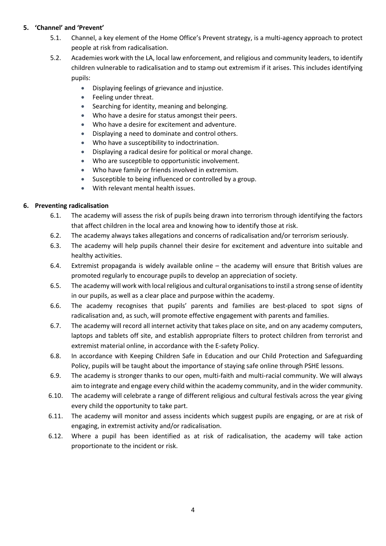#### **5. 'Channel' and 'Prevent'**

- 5.1. Channel, a key element of the Home Office's Prevent strategy, is a multi-agency approach to protect people at risk from radicalisation.
- 5.2. Academies work with the LA, local law enforcement, and religious and community leaders, to identify children vulnerable to radicalisation and to stamp out extremism if it arises. This includes identifying pupils:
	- Displaying feelings of grievance and injustice.
	- Feeling under threat.
	- Searching for identity, meaning and belonging.
	- Who have a desire for status amongst their peers.
	- Who have a desire for excitement and adventure.
	- Displaying a need to dominate and control others.
	- Who have a susceptibility to indoctrination.
	- Displaying a radical desire for political or moral change.
	- Who are susceptible to opportunistic involvement.
	- Who have family or friends involved in extremism.
	- Susceptible to being influenced or controlled by a group.
	- With relevant mental health issues.

#### **6. Preventing radicalisation**

- 6.1. The academy will assess the risk of pupils being drawn into terrorism through identifying the factors that affect children in the local area and knowing how to identify those at risk.
- 6.2. The academy always takes allegations and concerns of radicalisation and/or terrorism seriously.
- 6.3. The academy will help pupils channel their desire for excitement and adventure into suitable and healthy activities.
- 6.4. Extremist propaganda is widely available online the academy will ensure that British values are promoted regularly to encourage pupils to develop an appreciation of society.
- 6.5. The academy will work with local religious and cultural organisations to instil a strong sense of identity in our pupils, as well as a clear place and purpose within the academy.
- 6.6. The academy recognises that pupils' parents and families are best-placed to spot signs of radicalisation and, as such, will promote effective engagement with parents and families.
- 6.7. The academy will record all internet activity that takes place on site, and on any academy computers, laptops and tablets off site, and establish appropriate filters to protect children from terrorist and extremist material online, in accordance with the E-safety Policy.
- 6.8. In accordance with Keeping Children Safe in Education and our Child Protection and Safeguarding Policy, pupils will be taught about the importance of staying safe online through PSHE lessons.
- 6.9. The academy is stronger thanks to our open, multi-faith and multi-racial community. We will always aim to integrate and engage every child within the academy community, and in the wider community.
- 6.10. The academy will celebrate a range of different religious and cultural festivals across the year giving every child the opportunity to take part.
- 6.11. The academy will monitor and assess incidents which suggest pupils are engaging, or are at risk of engaging, in extremist activity and/or radicalisation.
- 6.12. Where a pupil has been identified as at risk of radicalisation, the academy will take action proportionate to the incident or risk.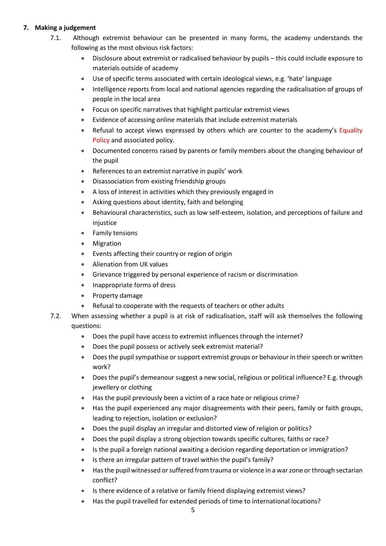## **7. Making a judgement**

- 7.1. Although extremist behaviour can be presented in many forms, the academy understands the following as the most obvious risk factors:
	- Disclosure about extremist or radicalised behaviour by pupils this could include exposure to materials outside of academy
	- Use of specific terms associated with certain ideological views, e.g. 'hate' language
	- Intelligence reports from local and national agencies regarding the radicalisation of groups of people in the local area
	- Focus on specific narratives that highlight particular extremist views
	- Evidence of accessing online materials that include extremist materials
	- Refusal to accept views expressed by others which are counter to the academy's Equality Policy and associated policy.
	- Documented concerns raised by parents or family members about the changing behaviour of the pupil
	- References to an extremist narrative in pupils' work
	- Disassociation from existing friendship groups
	- A loss of interest in activities which they previously engaged in
	- Asking questions about identity, faith and belonging
	- Behavioural characteristics, such as low self-esteem, isolation, and perceptions of failure and injustice
	- Family tensions
	- **Migration**
	- Events affecting their country or region of origin
	- Alienation from UK values
	- Grievance triggered by personal experience of racism or discrimination
	- Inappropriate forms of dress
	- Property damage
	- Refusal to cooperate with the requests of teachers or other adults
- 7.2. When assessing whether a pupil is at risk of radicalisation, staff will ask themselves the following questions:
	- Does the pupil have access to extremist influences through the internet?
	- Does the pupil possess or actively seek extremist material?
	- Does the pupil sympathise or support extremist groups or behaviour in their speech or written work?
	- Does the pupil's demeanour suggest a new social, religious or political influence? E.g. through jewellery or clothing
	- Has the pupil previously been a victim of a race hate or religious crime?
	- Has the pupil experienced any major disagreements with their peers, family or faith groups, leading to rejection, isolation or exclusion?
	- Does the pupil display an irregular and distorted view of religion or politics?
	- Does the pupil display a strong objection towards specific cultures, faiths or race?
	- Is the pupil a foreign national awaiting a decision regarding deportation or immigration?
	- Is there an irregular pattern of travel within the pupil's family?
	- Has the pupil witnessed or suffered from trauma or violence in a war zone or through sectarian conflict?
	- Is there evidence of a relative or family friend displaying extremist views?
	- Has the pupil travelled for extended periods of time to international locations?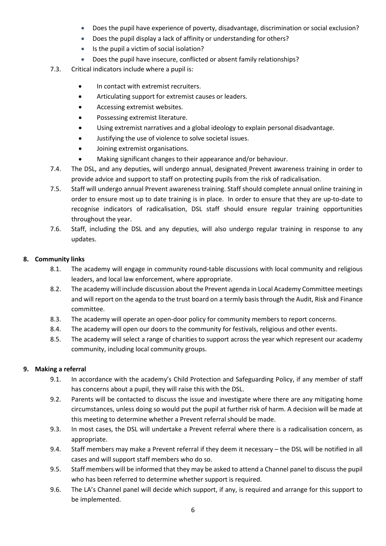- Does the pupil have experience of poverty, disadvantage, discrimination or social exclusion?
- Does the pupil display a lack of affinity or understanding for others?
- Is the pupil a victim of social isolation?
- Does the pupil have insecure, conflicted or absent family relationships?
- 7.3. Critical indicators include where a pupil is:
	- In contact with extremist recruiters.
	- Articulating support for extremist causes or leaders.
	- Accessing extremist websites.
	- Possessing extremist literature.
	- Using extremist narratives and a global ideology to explain personal disadvantage.
	- Justifying the use of violence to solve societal issues.
	- Joining extremist organisations.
	- Making significant changes to their appearance and/or behaviour.
- 7.4. The DSL, and any deputies, will undergo annual, designated Prevent awareness training in order to provide advice and support to staff on protecting pupils from the risk of radicalisation.
- 7.5. Staff will undergo annual Prevent awareness training. Staff should complete annual online training in order to ensure most up to date training is in place. In order to ensure that they are up-to-date to recognise indicators of radicalisation, DSL staff should ensure regular training opportunities throughout the year.
- 7.6. Staff, including the DSL and any deputies, will also undergo regular training in response to any updates.

#### **8. Community links**

- 8.1. The academy will engage in community round-table discussions with local community and religious leaders, and local law enforcement, where appropriate.
- 8.2. The academy will include discussion about the Prevent agenda in Local Academy Committee meetings and will report on the agenda to the trust board on a termly basis through the Audit, Risk and Finance committee.
- 8.3. The academy will operate an open-door policy for community members to report concerns.
- 8.4. The academy will open our doors to the community for festivals, religious and other events.
- 8.5. The academy will select a range of charities to support across the year which represent our academy community, including local community groups.

#### **9. Making a referral**

- 9.1. In accordance with the academy's Child Protection and Safeguarding Policy, if any member of staff has concerns about a pupil, they will raise this with the DSL.
- 9.2. Parents will be contacted to discuss the issue and investigate where there are any mitigating home circumstances, unless doing so would put the pupil at further risk of harm. A decision will be made at this meeting to determine whether a Prevent referral should be made.
- 9.3. In most cases, the DSL will undertake a Prevent referral where there is a radicalisation concern, as appropriate.
- 9.4. Staff members may make a Prevent referral if they deem it necessary the DSL will be notified in all cases and will support staff members who do so.
- 9.5. Staff members will be informed that they may be asked to attend a Channel panel to discuss the pupil who has been referred to determine whether support is required.
- 9.6. The LA's Channel panel will decide which support, if any, is required and arrange for this support to be implemented.